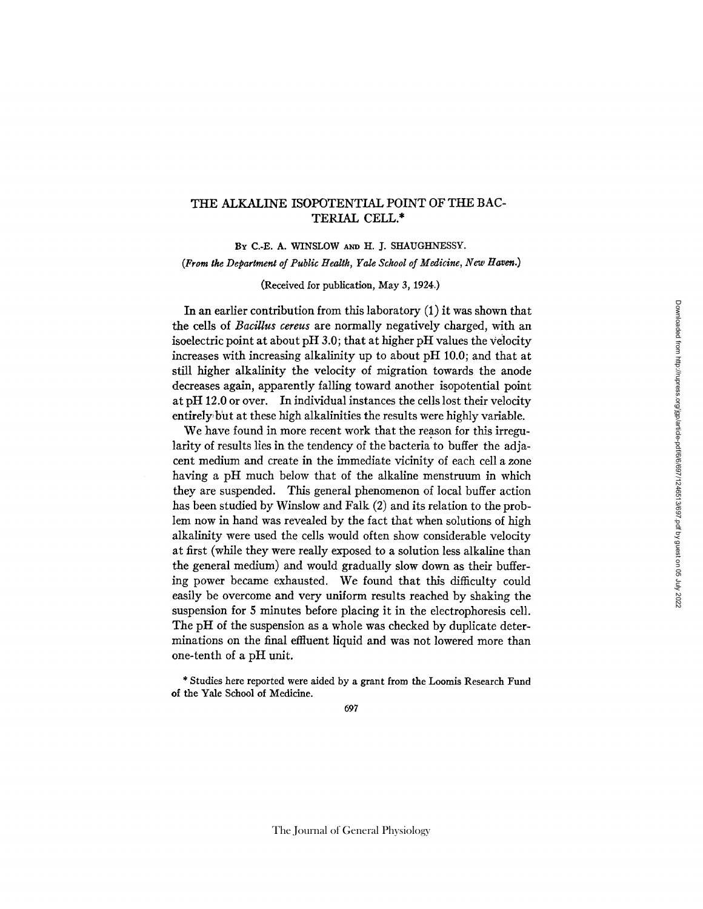## THE ALKALINE ISOPOTENTIAL POINT OF THE BAC-TERIAL CELL.\*

BY C.-E. A. WINSLOW AND H. J. SHAUGHNESSY. *(From the Department of Public Health, Yale School of Medicine, New Haven.)* 

(Received for publication, May 3, 1924.)

In an earlier contribution from this laboratory  $(1)$  it was shown that the cells of *Bacillus cereus* are normally negatively charged, with an isoelectric point at about pH 3.0; that at higher pH values the velocity increases with increasing alkalinity up to about pH 10.0; and that at still higher alkalinity the velocity of migration towards the anode decreases again, apparently falling toward another isopotential point at pH 12.0 or over. In individual instances the cells lost their velocity entirely but at these high alkalinities the results were highly variable.

We have found in more recent work that the reason for this irregularity of results lies in the tendency of the bacteria to buffer the adjacent medium and create in the immediate vicinity of each cell a zone having a pH much below that of the alkaline menstruum in which they are suspended. This general phenomenon of local buffer action has been studied by Winslow and Falk (2) and its relation to the problem now in hand was revealed by the fact that when solutions of high alkalinity were used the cells would often show considerable velocity at first (while they were really exposed to a solution less alkaline than the general medium) and would gradually slow down as their buffering power became exhausted. We found that this difficulty could easily be overcome and very uniform results reached by shaking the suspension for 5 minutes before placing it in the electrophoresis cell. The pH of the suspension as a whole was checked by duplicate determinations on the final effluent liquid and was not lowered more than one-tenth of a pH unit.

\* Studies here reported were aided by a grant from the Loomis Research Fund of the Yale School of Medicine.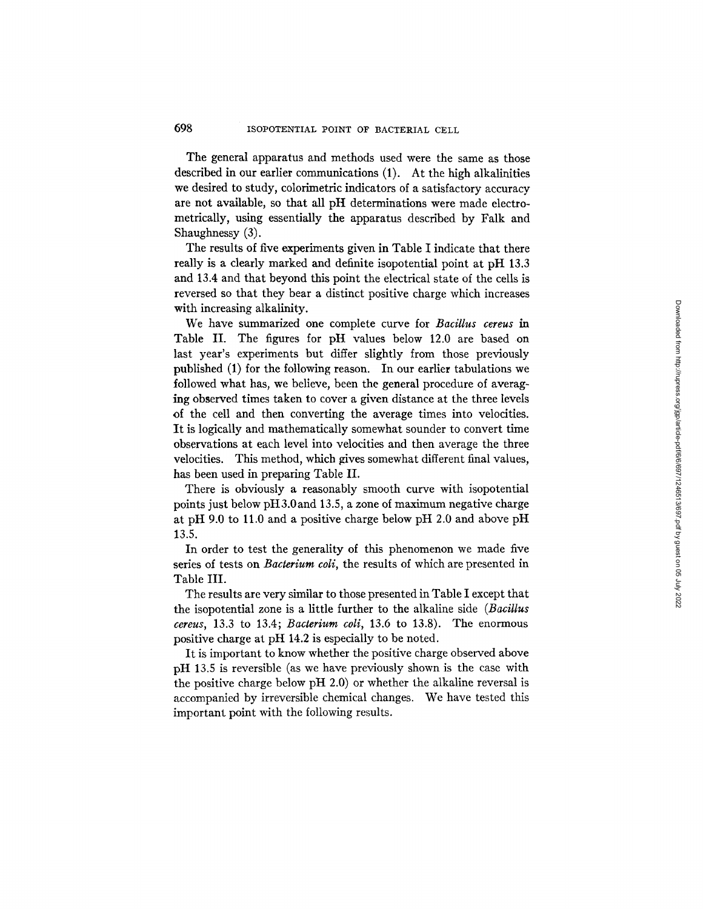The general apparatus and methods used were the same as those described in our earlier communications (1). At the high alkalinities we desired to study, colorimetric indicators of a satisfactory accuracy are not available, so that all pH determinations were made electrometrically, using essentially the apparatus described by Falk and Shaughnessy (3).

The results of five experiments given in Table I indicate that there really is a clearly marked and definite isopotential point at pH 13.3 and 13.4 and that beyond this point the electrical state of the cells is reversed so that they bear a distinct positive charge which increases with increasing alkalinity.

We have summarized one complete curve for *Bacillus cereus in*  Table II. The figures for pH values below 12.0 are based on last year's experiments but differ slightly from those previously published (1) for the following reason. In our earlier tabulations we followed what has, we believe, been the general procedure of averaging observed times taken to cover a given distance at the three levels of the cell and then converting the average times into velocities. It is logically and mathematically somewhat sounder to convert time observations at each level into velocities and then average the three velocities. This method, which gives somewhat different final values, has been used in preparing Table II.

There is obviously a reasonably smooth curve with isopotential points just below pH3.0and 13.5, a zone of maximum negative charge at pH 9.0 to 11.0 and a positive charge below pH 2.0 and above pH 13.5.

In order to test the generality of this phenomenon we made five series of tests on *Bacterium coli,* the results of which are presented in Table III.

The results are very similar to those presented in Table I except that the isopotential zone is a little further to the alkaline side *(Bacillus cereus,* 13.3 to 13.4; *Bacterium coli,* 13.6 to 13.8). The enormous positive charge at pH 14.2 is especially to be noted.

It is important to know whether the positive charge observed above pH 13.5 is reversible (as we have previously shown is the case with the positive charge below pH 2.0) or whether the alkaline reversal is accompanied by irreversible chemical changes. We have tested this important point with the following results.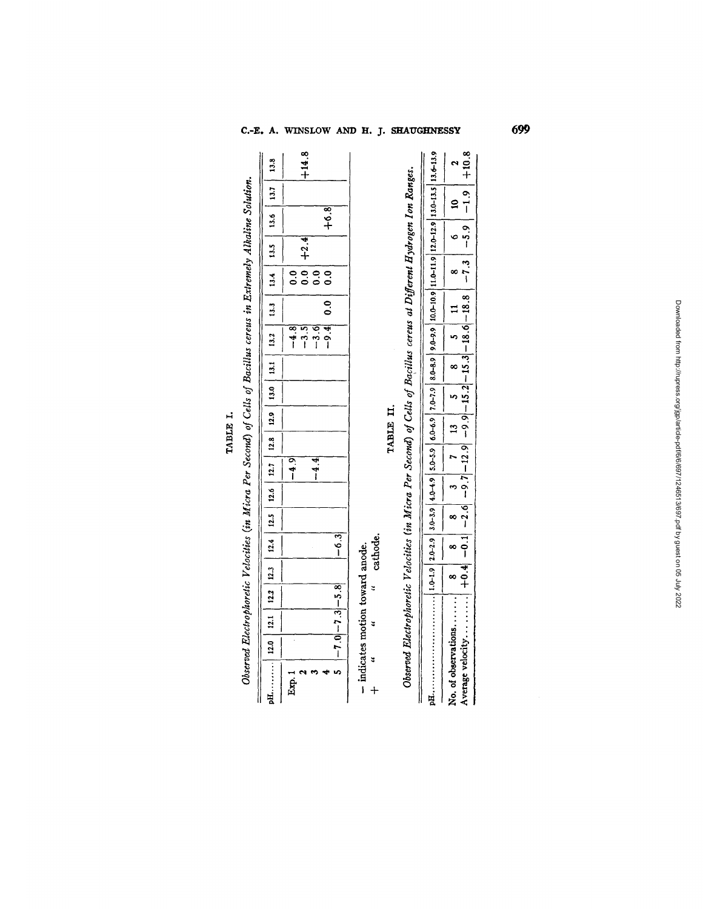TABLE I.

| pH  12.0   12.1   12.3   12.4   12.5   12.6   12.7   12.8   12.9   13.0   13.1   13.2   13.4   13.5   13.6   13.7   13.8 |                       |  |           |  |        |           |  |                  |     |                                                          |                |         |
|--------------------------------------------------------------------------------------------------------------------------|-----------------------|--|-----------|--|--------|-----------|--|------------------|-----|----------------------------------------------------------|----------------|---------|
| Exp.                                                                                                                     |                       |  |           |  | $-4.9$ |           |  | $-4.8$           |     |                                                          |                |         |
|                                                                                                                          |                       |  |           |  | $-4.4$ |           |  | $-3.6$<br>$-3.5$ |     | $\begin{array}{c c}\n0.0 & +2.4 \\ 0.0 & 1\n\end{array}$ |                | $+14.8$ |
|                                                                                                                          | $5 - 7.0 - 7.3 - 5.8$ |  | $-6.3$    |  |        |           |  | $-9.4$ 0.0       | 0.0 |                                                          | $\frac{8}{16}$ |         |
| - indicates motion toward anode.                                                                                         |                       |  |           |  |        |           |  |                  |     |                                                          |                |         |
| $\ddot{a}$                                                                                                               | $\ddot{ }$            |  | "cathode. |  |        |           |  |                  |     |                                                          |                |         |
|                                                                                                                          |                       |  |           |  |        | TABLE II. |  |                  |     |                                                          |                |         |

| Observed Electrophoretic Velocities (in Micra Per Second) of Cells of Bacillus cereus at Different Hydrogen Ion Ranges. |  |  |  |  |  |  |  |
|-------------------------------------------------------------------------------------------------------------------------|--|--|--|--|--|--|--|
|                                                                                                                         |  |  |  |  |  |  |  |
|                                                                                                                         |  |  |  |  |  |  |  |

699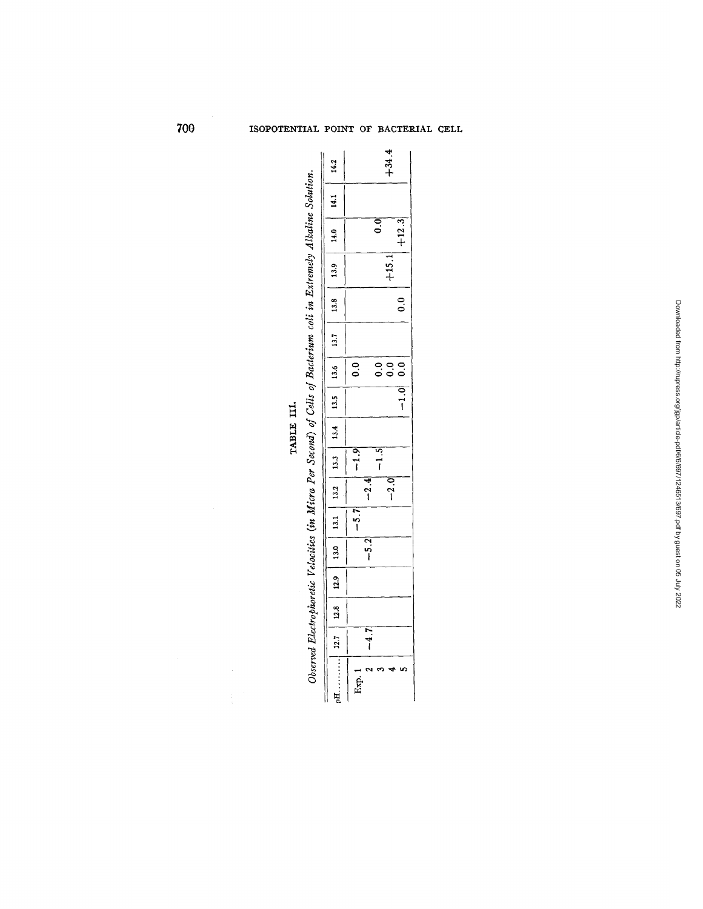|                                                                                                                      |                                                                                                                   |               |        |                | $+34.4$ |            |
|----------------------------------------------------------------------------------------------------------------------|-------------------------------------------------------------------------------------------------------------------|---------------|--------|----------------|---------|------------|
|                                                                                                                      |                                                                                                                   |               |        |                |         |            |
|                                                                                                                      |                                                                                                                   |               |        |                |         | $+12.3$    |
|                                                                                                                      |                                                                                                                   |               |        |                | $+15.1$ |            |
|                                                                                                                      |                                                                                                                   |               |        |                |         | ိ          |
|                                                                                                                      |                                                                                                                   |               |        |                |         |            |
|                                                                                                                      |                                                                                                                   | $\frac{0}{2}$ |        | $\ddot{\circ}$ | 0.0     | $-1.0$ 0.0 |
| Observed Electrophoretic Velocities (in Micra Per Second) of Cells of Bacterium coli in Extremely Alkaline Solution. |                                                                                                                   |               |        |                |         |            |
|                                                                                                                      |                                                                                                                   |               |        |                |         |            |
|                                                                                                                      |                                                                                                                   | $ -1.9 $      |        | $-1.5$         |         |            |
|                                                                                                                      |                                                                                                                   |               | $-2.4$ |                | $-2.0$  |            |
|                                                                                                                      |                                                                                                                   | $-5.7$        |        |                |         |            |
|                                                                                                                      |                                                                                                                   |               | $-5.2$ |                |         |            |
|                                                                                                                      |                                                                                                                   |               |        |                |         |            |
|                                                                                                                      |                                                                                                                   |               |        |                |         |            |
|                                                                                                                      |                                                                                                                   |               | $-4.7$ |                |         |            |
|                                                                                                                      | nE  12.7   12.8   12.9   13.0   13.1   13.2   13.3   13.4   13.5   13.6   13.7   13.8   13.9   14.1   14.1   14.2 | Exp. 1        |        |                |         |            |

TABLE III.